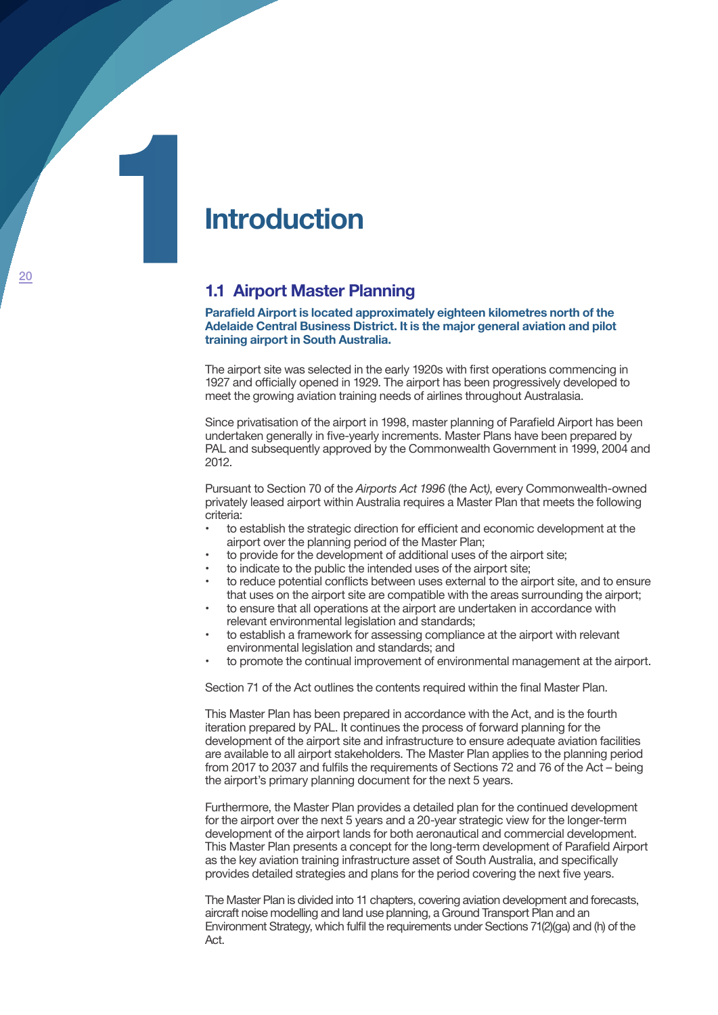# **Introduction<br>
1.1 Airport Master PI**

# **1.1 Airport Master Planning**

**Parafield Airport is located approximately eighteen kilometres north of the Adelaide Central Business District. It is the major general aviation and pilot training airport in South Australia.** 

The airport site was selected in the early 1920s with first operations commencing in 1927 and officially opened in 1929. The airport has been progressively developed to meet the growing aviation training needs of airlines throughout Australasia.

Since privatisation of the airport in 1998, master planning of Parafield Airport has been undertaken generally in five-yearly increments. Master Plans have been prepared by PAL and subsequently approved by the Commonwealth Government in 1999, 2004 and 2012.

Pursuant to Section 70 of the *Airports Act 1996* (the Act*)*, every Commonwealth-owned privately leased airport within Australia requires a Master Plan that meets the following criteria:

- to establish the strategic direction for efficient and economic development at the airport over the planning period of the Master Plan;
- to provide for the development of additional uses of the airport site;
- to indicate to the public the intended uses of the airport site;
- to reduce potential conflicts between uses external to the airport site, and to ensure that uses on the airport site are compatible with the areas surrounding the airport;
- to ensure that all operations at the airport are undertaken in accordance with relevant environmental legislation and standards;
- to establish a framework for assessing compliance at the airport with relevant environmental legislation and standards; and
- to promote the continual improvement of environmental management at the airport.

Section 71 of the Act outlines the contents required within the final Master Plan.

This Master Plan has been prepared in accordance with the Act, and is the fourth iteration prepared by PAL. It continues the process of forward planning for the development of the airport site and infrastructure to ensure adequate aviation facilities are available to all airport stakeholders. The Master Plan applies to the planning period from 2017 to 2037 and fulfils the requirements of Sections 72 and 76 of the Act – being the airport's primary planning document for the next 5 years.

Furthermore, the Master Plan provides a detailed plan for the continued development for the airport over the next 5 years and a 20-year strategic view for the longer-term development of the airport lands for both aeronautical and commercial development. This Master Plan presents a concept for the long-term development of Parafield Airport as the key aviation training infrastructure asset of South Australia, and specifically provides detailed strategies and plans for the period covering the next five years.

The Master Plan is divided into 11 chapters, covering aviation development and forecasts, aircraft noise modelling and land use planning, a Ground Transport Plan and an Environment Strategy, which fulfil the requirements under Sections 71(2)(ga) and (h) of the Act.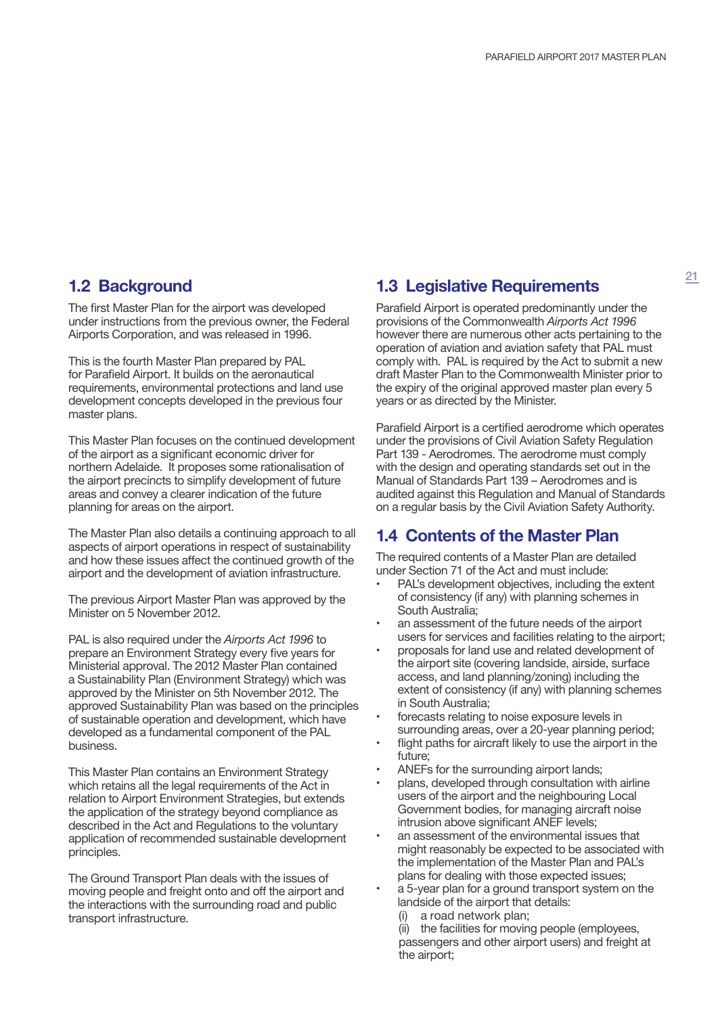## **1.2 Background**

The first Master Plan for the airport was developed under instructions from the previous owner, the Federal Airports Corporation, and was released in 1996.

This is the fourth Master Plan prepared by PAL for Parafield Airport. It builds on the aeronautical requirements, environmental protections and land use development concepts developed in the previous four master plans.

This Master Plan focuses on the continued development of the airport as a significant economic driver for northern Adelaide. It proposes some rationalisation of the airport precincts to simplify development of future areas and convey a clearer indication of the future planning for areas on the airport.

The Master Plan also details a continuing approach to all aspects of airport operations in respect of sustainability and how these issues affect the continued growth of the airport and the development of aviation infrastructure.

The previous Airport Master Plan was approved by the Minister on 5 November 2012.

PAL is also required under the *Airports Act 1996* to prepare an Environment Strategy every five years for Ministerial approval. The 2012 Master Plan contained a Sustainability Plan (Environment Strategy) which was approved by the Minister on 5th November 2012. The approved Sustainability Plan was based on the principles of sustainable operation and development, which have developed as a fundamental component of the PAL business.

This Master Plan contains an Environment Strategy which retains all the legal requirements of the Act in relation to Airport Environment Strategies, but extends the application of the strategy beyond compliance as described in the Act and Regulations to the voluntary application of recommended sustainable development principles.

The Ground Transport Plan deals with the issues of moving people and freight onto and off the airport and the interactions with the surrounding road and public transport infrastructure.

# **1.3 Legislative Requirements**

Parafield Airport is operated predominantly under the provisions of the Commonwealth *Airports Act 1996*  however there are numerous other acts pertaining to the operation of aviation and aviation safety that PAL must comply with. PAL is required by the Act to submit a new draft Master Plan to the Commonwealth Minister prior to the expiry of the original approved master plan every 5 years or as directed by the Minister.

Parafield Airport is a certified aerodrome which operates under the provisions of Civil Aviation Safety Regulation Part 139 - Aerodromes. The aerodrome must comply with the design and operating standards set out in the Manual of Standards Part 139 – Aerodromes and is audited against this Regulation and Manual of Standards on a regular basis by the Civil Aviation Safety Authority.

## **1.4 Contents of the Master Plan**

The required contents of a Master Plan are detailed under Section 71 of the Act and must include:

- PAL's development objectives, including the extent of consistency (if any) with planning schemes in South Australia;
- an assessment of the future needs of the airport users for services and facilities relating to the airport;
- proposals for land use and related development of the airport site (covering landside, airside, surface access, and land planning/zoning) including the extent of consistency (if any) with planning schemes in South Australia;
- forecasts relating to noise exposure levels in surrounding areas, over a 20-year planning period;
- flight paths for aircraft likely to use the airport in the future;
- ANEFs for the surrounding airport lands;
- plans, developed through consultation with airline users of the airport and the neighbouring Local Government bodies, for managing aircraft noise intrusion above significant ANEF levels;
- an assessment of the environmental issues that might reasonably be expected to be associated with the implementation of the Master Plan and PAL's plans for dealing with those expected issues;
- a 5-year plan for a ground transport system on the landside of the airport that details:
	- (i) a road network plan;

(ii) the facilities for moving people (employees, passengers and other airport users) and freight at the airport: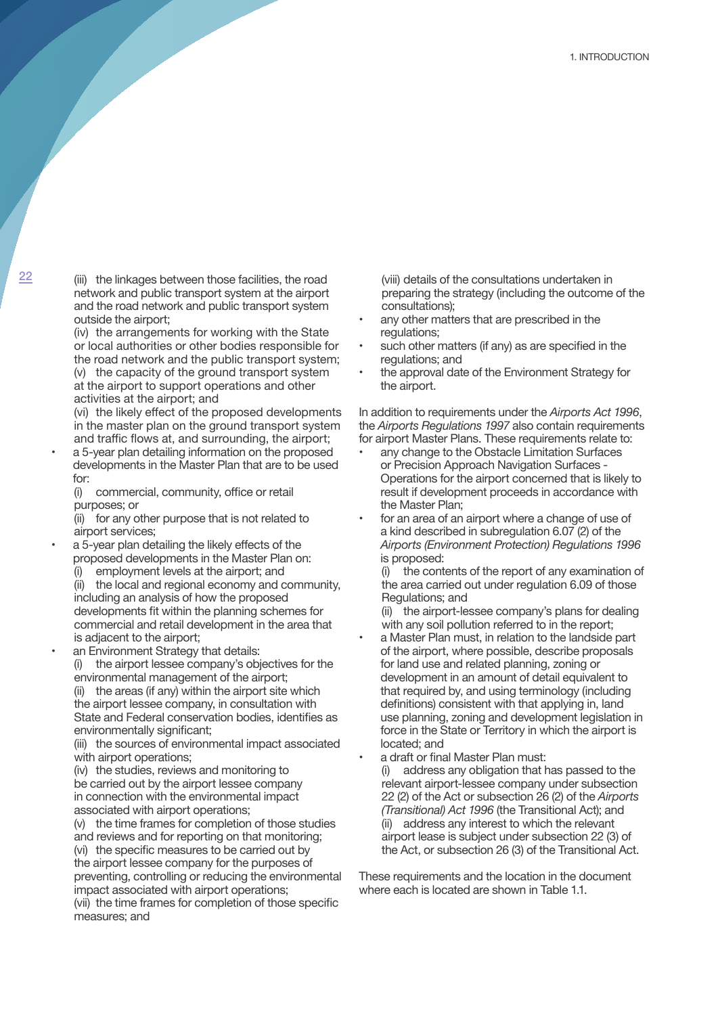$22$  (iii) the linkages between those facilities, the road network and public transport system at the airport and the road network and public transport system outside the airport;

(iv) the arrangements for working with the State or local authorities or other bodies responsible for the road network and the public transport system; (v) the capacity of the ground transport system at the airport to support operations and other

activities at the airport; and (vi) the likely effect of the proposed developments

in the master plan on the ground transport system and traffic flows at, and surrounding, the airport;

- a 5-year plan detailing information on the proposed developments in the Master Plan that are to be used for:
	- (i) commercial, community, office or retail purposes; or

(ii) for any other purpose that is not related to airport services;

• a 5-year plan detailing the likely effects of the proposed developments in the Master Plan on:

employment levels at the airport; and

(ii) the local and regional economy and community, including an analysis of how the proposed developments fit within the planning schemes for commercial and retail development in the area that is adjacent to the airport;

an Environment Strategy that details: (i) the airport lessee company's objectives for the environmental management of the airport; (ii) the areas (if any) within the airport site which

the airport lessee company, in consultation with State and Federal conservation bodies, identifies as environmentally significant;

(iii) the sources of environmental impact associated with airport operations;

(iv) the studies, reviews and monitoring to be carried out by the airport lessee company in connection with the environmental impact associated with airport operations;

(v) the time frames for completion of those studies and reviews and for reporting on that monitoring; (vi) the specific measures to be carried out by the airport lessee company for the purposes of preventing, controlling or reducing the environmental impact associated with airport operations; (vii) the time frames for completion of those specific measures; and

(viii) details of the consultations undertaken in preparing the strategy (including the outcome of the consultations);

- any other matters that are prescribed in the regulations;
- such other matters (if any) as are specified in the regulations; and
- the approval date of the Environment Strategy for the airport.

In addition to requirements under the *Airports Act 1996*, the *Airports Regulations 1997* also contain requirements for airport Master Plans. These requirements relate to:

- any change to the Obstacle Limitation Surfaces or Precision Approach Navigation Surfaces - Operations for the airport concerned that is likely to result if development proceeds in accordance with the Master Plan;
- for an area of an airport where a change of use of a kind described in subregulation 6.07 (2) of the *Airports (Environment Protection) Regulations 1996*  is proposed:

(i) the contents of the report of any examination of the area carried out under regulation 6.09 of those Regulations; and

(ii) the airport-lessee company's plans for dealing with any soil pollution referred to in the report;

- a Master Plan must, in relation to the landside part of the airport, where possible, describe proposals for land use and related planning, zoning or development in an amount of detail equivalent to that required by, and using terminology (including definitions) consistent with that applying in, land use planning, zoning and development legislation in force in the State or Territory in which the airport is located; and
- a draft or final Master Plan must:
	- (i) address any obligation that has passed to the relevant airport-lessee company under subsection 22 (2) of the Act or subsection 26 (2) of the *Airports (Transitional) Act 1996* (the Transitional Act); and (ii) address any interest to which the relevant airport lease is subject under subsection 22 (3) of the Act, or subsection 26 (3) of the Transitional Act.

These requirements and the location in the document where each is located are shown in Table 1.1.